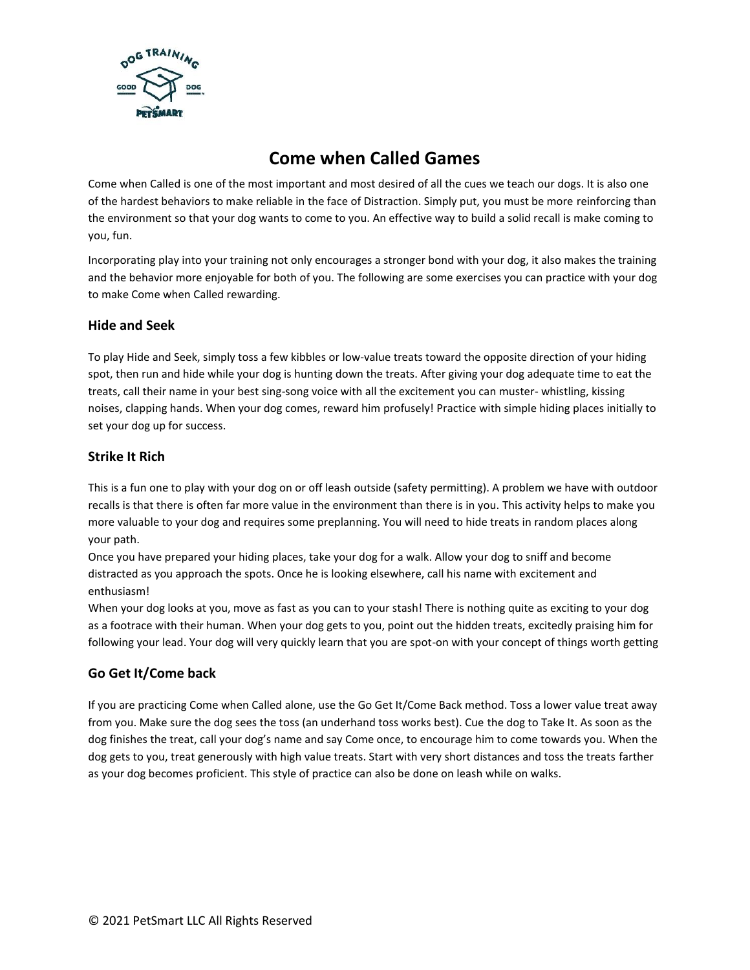

# **Come when Called Games**

Come when Called is one of the most important and most desired of all the cues we teach our dogs. It is also one of the hardest behaviors to make reliable in the face of Distraction. Simply put, you must be more reinforcing than the environment so that your dog wants to come to you. An effective way to build a solid recall is make coming to you, fun.

Incorporating play into your training not only encourages a stronger bond with your dog, it also makes the training and the behavior more enjoyable for both of you. The following are some exercises you can practice with your dog to make Come when Called rewarding.

### **Hide and Seek**

To play Hide and Seek, simply toss a few kibbles or low-value treats toward the opposite direction of your hiding spot, then run and hide while your dog is hunting down the treats. After giving your dog adequate time to eat the treats, call their name in your best sing-song voice with all the excitement you can muster- whistling, kissing noises, clapping hands. When your dog comes, reward him profusely! Practice with simple hiding places initially to set your dog up for success.

### **Strike It Rich**

This is a fun one to play with your dog on or off leash outside (safety permitting). A problem we have with outdoor recalls is that there is often far more value in the environment than there is in you. This activity helps to make you more valuable to your dog and requires some preplanning. You will need to hide treats in random places along your path.

Once you have prepared your hiding places, take your dog for a walk. Allow your dog to sniff and become distracted as you approach the spots. Once he is looking elsewhere, call his name with excitement and enthusiasm!

When your dog looks at you, move as fast as you can to your stash! There is nothing quite as exciting to your dog as a footrace with their human. When your dog gets to you, point out the hidden treats, excitedly praising him for following your lead. Your dog will very quickly learn that you are spot-on with your concept of things worth getting

# **Go Get It/Come back**

If you are practicing Come when Called alone, use the Go Get It/Come Back method. Toss a lower value treat away from you. Make sure the dog sees the toss (an underhand toss works best). Cue the dog to Take It. As soon as the dog finishes the treat, call your dog's name and say Come once, to encourage him to come towards you. When the dog gets to you, treat generously with high value treats. Start with very short distances and toss the treats farther as your dog becomes proficient. This style of practice can also be done on leash while on walks.